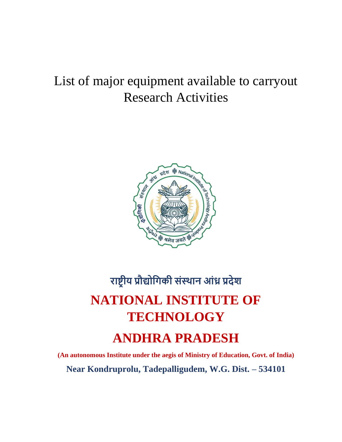# List of major equipment available to carryout Research Activities



# **राष्ट्रीय प्रौद्योगिकी संस्थान आंध्र प्रदेश NATIONAL INSTITUTE OF TECHNOLOGY ANDHRA PRADESH**

**(An autonomous Institute under the aegis of Ministry of Education, Govt. of India) Near Kondruprolu, Tadepalligudem, W.G. Dist. – 534101**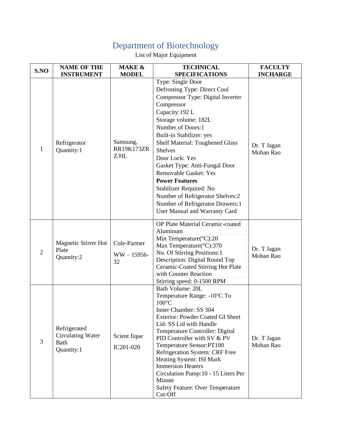#### Department of Biotechnology

#### List of Major Equipment

| S.NO           | <b>NAME OF THE</b>                                      | <b>MAKE &amp;</b>                     | <b>TECHNICAL</b>                                                                                                                                                                                                                                                                                                                                                                                                                                                                                             | <b>FACULTY</b>           |
|----------------|---------------------------------------------------------|---------------------------------------|--------------------------------------------------------------------------------------------------------------------------------------------------------------------------------------------------------------------------------------------------------------------------------------------------------------------------------------------------------------------------------------------------------------------------------------------------------------------------------------------------------------|--------------------------|
|                | <b>INSTRUMENT</b>                                       | <b>MODEL</b>                          | <b>SPECIFICATIONS</b>                                                                                                                                                                                                                                                                                                                                                                                                                                                                                        | <b>INCHARGE</b>          |
| 1              | Refrigerator<br>Quantity:1                              | Samsung,<br><b>RR19K173ZR</b><br>Z/HL | Type: Single Door<br>Defrosting Type: Direct Cool<br>Compressor Type: Digital Inverter<br>Compressor<br>Capacity: 192 L<br>Storage volume: 182L<br>Number of Doors:1<br>Built-in Stabilizer: yes<br><b>Shelf Material: Toughened Glass</b><br><b>Shelves</b><br>Door Lock: Yes<br>Gasket Type: Anti-Fungal Door<br><b>Removable Gasket: Yes</b><br><b>Power Features</b><br>Stabilizer Required: No<br>Number of Refrigerator Shelves:2<br>Number of Refrigerator Drawers:1<br>User Manual and Warranty Card | Dr. T Jagan<br>Mohan Rao |
| $\overline{2}$ | <b>Magnetic Stirrer Hot</b><br>Plate<br>Quantity:2      | Cole-Parmer<br>$WW - 15956 -$<br>32   | OP Plate Material Ceramic-coated<br>Aluminum<br>Min Temperature(°C):20<br>Max Temperature(°C):370<br>No. Of Stirring Positions:1<br>Description: Digital Round Top<br>Ceramic-Coated Stirring Hot Plate<br>with Counter Reaction<br>Stirring speed: 0-1500 RPM                                                                                                                                                                                                                                               | Dr. T Jagan<br>Mohan Rao |
| 3              | Refrigerated<br>Circulating Water<br>Bath<br>Quantity:1 | Scient fique<br>IC201-020             | Bath Volume: 20L<br>Temperature Range: -10°C To<br>$100^{\circ}$ C<br>Inner Chamber: SS 304<br><b>Exterior: Powder Coated GI Sheet</b><br>Lid: SS Lid with Handle<br>Temperature Controller: Digital<br>PID Controller with SV & PV<br>Temperature Sensor:PT100<br>Refrigeration System: CRF Free<br>Heating System: ISI Mark<br><b>Immersion Heaters</b><br>Circulation Pump:10 - 15 Liters Per<br>Minute<br><b>Safety Feature: Over Temperature</b><br>Cut-Off                                             | Dr. T Jagan<br>Mohan Rao |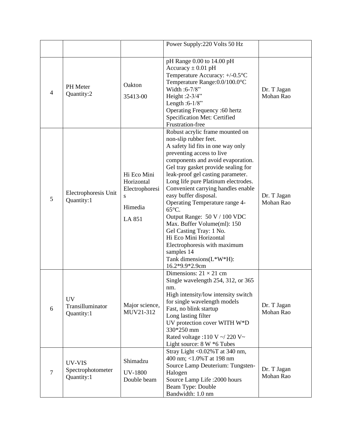|                |                                             |                                                                       | Power Supply: 220 Volts 50 Hz                                                                                                                                                                                                                                                                                                                                                                                                                                                                                                                                                                               |                          |
|----------------|---------------------------------------------|-----------------------------------------------------------------------|-------------------------------------------------------------------------------------------------------------------------------------------------------------------------------------------------------------------------------------------------------------------------------------------------------------------------------------------------------------------------------------------------------------------------------------------------------------------------------------------------------------------------------------------------------------------------------------------------------------|--------------------------|
| $\overline{4}$ | PH Meter<br>Quantity:2                      | Oakton<br>35413-00                                                    | pH Range 0.00 to 14.00 pH<br>Accuracy $\pm$ 0.01 pH<br>Temperature Accuracy: +/-0.5°C<br>Temperature Range: 0.0/100.0°C<br>Width: 6-7/8"<br>Height : 2-3/4"<br>Length: $6-1/8$ "<br>Operating Frequency :60 hertz<br>Specification Met: Certified<br>Frustration-free                                                                                                                                                                                                                                                                                                                                       | Dr. T Jagan<br>Mohan Rao |
| 5              | Electrophoresis Unit<br>Quantity:1          | Hi Eco Mini<br>Horizontal<br>Electrophoresi<br>S<br>Himedia<br>LA 851 | Robust acrylic frame mounted on<br>non-slip rubber feet.<br>A safety lid fits in one way only<br>preventing access to live<br>components and avoid evaporation.<br>Gel tray gasket provide sealing for<br>leak-proof gel casting parameter.<br>Long life pure Platinum electrodes.<br>Convenient carrying handles enable<br>easy buffer disposal.<br>Operating Temperature range 4-<br>65°C.<br>Output Range: 50 V / 100 VDC<br>Max. Buffer Volume(ml): 150<br>Gel Casting Tray: 1 No.<br>Hi Eco Mini Horizontal<br>Electrophoresis with maximum<br>samples 14<br>Tank dimensions(L*W*H):<br>16.2*9.9*2.9cm | Dr. T Jagan<br>Mohan Rao |
| 6              | <b>UV</b><br>Transilluminator<br>Quantity:1 | Major science,<br>MUV21-312                                           | Dimensions: $21 \times 21$ cm<br>Single wavelength 254, 312, or 365<br>nm.<br>High intensity/low intensity switch<br>for single wavelength models<br>Fast, no blink startup<br>Long lasting filter<br>UV protection cover WITH W*D<br>330*250 mm<br>Rated voltage :110 V $\sim$ /220 V $\sim$<br>Light source: 8 W *6 Tubes                                                                                                                                                                                                                                                                                 | Dr. T Jagan<br>Mohan Rao |
| $\overline{7}$ | UV-VIS<br>Spectrophotometer<br>Quantity:1   | Shimadzu<br><b>UV-1800</b><br>Double beam                             | Stray Light <0.02%T at 340 nm,<br>400 nm; <1.0%T at 198 nm<br>Source Lamp Deuterium: Tungsten-<br>Halogen<br>Source Lamp Life: 2000 hours<br>Beam Type: Double<br>Bandwidth: 1.0 nm                                                                                                                                                                                                                                                                                                                                                                                                                         | Dr. T Jagan<br>Mohan Rao |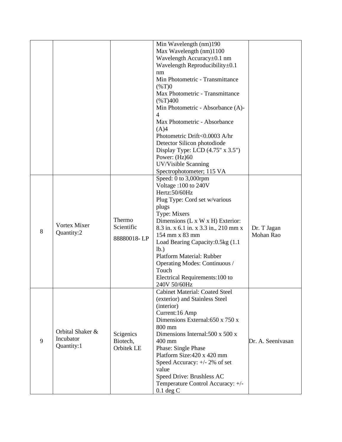|   |                                             |                                     | Min Wavelength (nm)190<br>Max Wavelength (nm)1100<br>Wavelength Accuracy±0.1 nm<br>Wavelength Reproducibility $\pm 0.1$<br>nm<br>Min Photometric - Transmittance<br>$(\%T)0$<br>Max Photometric - Transmittance<br>$(*T)400$<br>Min Photometric - Absorbance (A)-<br>$\overline{\mathcal{A}}$<br>Max Photometric - Absorbance<br>(A)4<br>Photometric Drift<0.0003 A/hr<br>Detector Silicon photodiode |                          |
|---|---------------------------------------------|-------------------------------------|-------------------------------------------------------------------------------------------------------------------------------------------------------------------------------------------------------------------------------------------------------------------------------------------------------------------------------------------------------------------------------------------------------|--------------------------|
|   |                                             |                                     | Display Type: LCD $(4.75" \times 3.5")$<br>Power: (Hz)60<br>UV/Visible Scanning<br>Spectrophotometer; 115 VA                                                                                                                                                                                                                                                                                          |                          |
| 8 | Vortex Mixer<br>Quantity:2                  | Thermo<br>Scientific<br>88880018-LP | Speed: 0 to 3,000rpm<br>Voltage: 100 to 240V<br>Hertz:50/60Hz<br>Plug Type: Cord set w/various<br>plugs<br>Type: Mixers<br>Dimensions (L x W x H) Exterior:<br>8.3 in. x 6.1 in. x 3.3 in., 210 mm x<br>154 mm x 83 mm<br>Load Bearing Capacity: 0.5kg (1.1)<br>lb.)<br>Platform Material: Rubber<br>Operating Modes: Continuous /<br>Touch<br>Electrical Requirements: 100 to<br>240V 50/60Hz        | Dr. T Jagan<br>Mohan Rao |
| 9 | Orbital Shaker &<br>Incubator<br>Quantity:1 | Scigenics<br>Biotech,<br>Orbitek LE | <b>Cabinet Material: Coated Steel</b><br>(exterior) and Stainless Steel<br>(interior)<br>Current:16 Amp<br>Dimensions External: 650 x 750 x<br>800 mm<br>Dimensions Internal: 500 x 500 x<br>400 mm<br>Phase: Single Phase<br>Platform Size: 420 x 420 mm<br>Speed Accuracy: $+/- 2\%$ of set<br>value<br>Speed Drive: Brushless AC<br>Temperature Control Accuracy: +/-<br>$0.1$ deg C               | Dr. A. Seenivasan        |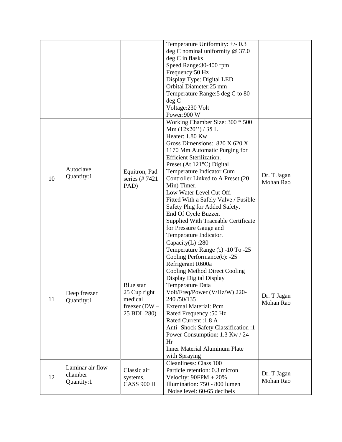|    |                                           |                                                                        | Temperature Uniformity: +/- 0.3<br>deg C nominal uniformity $@37.0$<br>deg C in flasks<br>Speed Range: 30-400 rpm<br>Frequency: 50 Hz<br>Display Type: Digital LED<br>Orbital Diameter:25 mm<br>Temperature Range: 5 deg C to 80<br>deg C<br>Voltage: 230 Volt<br>Power:900 W                                                                                                                                                                                                                                                         |                          |
|----|-------------------------------------------|------------------------------------------------------------------------|---------------------------------------------------------------------------------------------------------------------------------------------------------------------------------------------------------------------------------------------------------------------------------------------------------------------------------------------------------------------------------------------------------------------------------------------------------------------------------------------------------------------------------------|--------------------------|
| 10 | Autoclave<br>Quantity:1                   | Equitron, Pad<br>series (#7421)<br>PAD)                                | Working Chamber Size: 300 * 500<br>Mm $(12x20'')/35$ L<br>Heater: 1.80 Kw<br>Gross Dimensions: 820 X 620 X<br>1170 Mm Automatic Purging for<br><b>Efficient Sterilization.</b><br>Preset (At $121^{\circ}$ C) Digital<br>Temperature Indicator Cum<br>Controller Linked to A Preset (20<br>Min) Timer.<br>Low Water Level Cut Off.<br>Fitted With a Safely Valve / Fusible<br>Safety Plug for Added Safety.<br>End Of Cycle Buzzer.<br><b>Supplied With Traceable Certificate</b><br>for Pressure Gauge and<br>Temperature Indicator. | Dr. T Jagan<br>Mohan Rao |
| 11 | Deep freezer<br>Quantity:1                | Blue star<br>25 Cup right<br>medical<br>freezer $(DW -$<br>25 BDL 280) | Capacity $(L)$ :280<br>Temperature Range (c) -10 To -25<br>Cooling Performance(c): -25<br>Refrigerant R600a<br><b>Cooling Method Direct Cooling</b><br>Display Digital Display<br>Temperature Data<br>Volt/Freq/Power (V/Hz/W) 220-<br>240/50/135<br><b>External Material: Pcm</b><br>Rated Frequency: 50 Hz<br>Rated Current: 1.8 A<br>Anti- Shock Safety Classification:1<br>Power Consumption: 1.3 Kw / 24<br>Hr<br>Inner Material Aluminum Plate<br>with Spraying                                                                 | Dr. T Jagan<br>Mohan Rao |
| 12 | Laminar air flow<br>chamber<br>Quantity:1 | Classic air<br>systems,<br><b>CASS 900 H</b>                           | <b>Cleanliness: Class 100</b><br>Particle retention: 0.3 micron<br>Velocity: $90$ FPM + $20\%$<br>Illumination: 750 - 800 lumen<br>Noise level: 60-65 decibels                                                                                                                                                                                                                                                                                                                                                                        | Dr. T Jagan<br>Mohan Rao |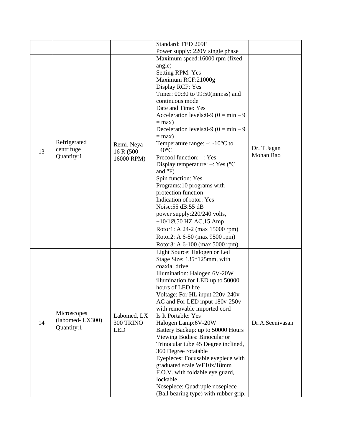|    |                                              |                                           | Standard: FED 209E                                                                                                                                                                                                                                                                                                                                                                                                                                                                                                                                                                                                                                                                                                                                                                                           |                          |
|----|----------------------------------------------|-------------------------------------------|--------------------------------------------------------------------------------------------------------------------------------------------------------------------------------------------------------------------------------------------------------------------------------------------------------------------------------------------------------------------------------------------------------------------------------------------------------------------------------------------------------------------------------------------------------------------------------------------------------------------------------------------------------------------------------------------------------------------------------------------------------------------------------------------------------------|--------------------------|
| 13 | Refrigerated<br>centrifuge<br>Quantity:1     | Remi, Neya<br>$16 R (500 -$<br>16000 RPM) | Power supply: 220V single phase<br>Maximum speed:16000 rpm (fixed<br>angle)<br><b>Setting RPM: Yes</b><br>Maximum RCF:21000g<br>Display RCF: Yes<br>Timer: 00:30 to 99:50(mm:ss) and<br>continuous mode<br>Date and Time: Yes<br>Acceleration levels: $0-9$ ( $0 = min - 9$ )<br>$=$ max)<br>Deceleration levels: $0-9$ ( $0 = min - 9$ )<br>$=$ max)<br>Temperature range: $-$ : -10 <sup>o</sup> C to<br>$+40^{\circ}$ C<br>Precool function: -: Yes<br>Display temperature: $-$ : Yes ( $°C$<br>and °F)<br>Spin function: Yes<br>Programs: 10 programs with<br>protection function<br>Indication of rotor: Yes<br>Noise: 55 dB: 55 dB<br>power supply:220/240 volts,<br>$\pm 10/10$ ,50 HZ AC,15 Amp<br>Rotor1: A 24-2 (max 15000 rpm)<br>Rotor2: A 6-50 (max 9500 rpm)<br>Rotor3: A 6-100 (max 5000 rpm) | Dr. T Jagan<br>Mohan Rao |
| 14 | Microscopes<br>(labomed-LX300)<br>Quantity:1 | Labomed, LX<br>300 TRINO<br><b>LED</b>    | Light Source: Halogen or Led<br>Stage Size: 135*125mm, with<br>coaxial drive<br>Illumination: Halogen 6V-20W<br>illumination for LED up to 50000<br>hours of LED life<br>Voltage: For HL input 220v-240v<br>AC and For LED input 180v-250v<br>with removable imported cord<br>Is It Portable: Yes<br>Halogen Lamp:6V-20W<br>Battery Backup: up to 50000 Hours<br>Viewing Bodies: Binocular or<br>Trinocular tube 45 Degree inclined,<br>360 Degree rotatable<br>Eyepieces: Focusable eyepiece with<br>graduated scale WF10x/18mm<br>F.O.V. with foldable eye guard,<br>lockable<br>Nosepiece: Quadruple nosepiece<br>(Ball bearing type) with rubber grip.                                                                                                                                                   | Dr.A.Seenivasan          |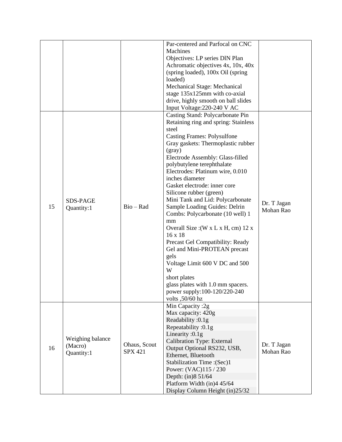|    |                                           |                                | Par-centered and Parfocal on CNC<br>Machines<br>Objectives: LP series DIN Plan<br>Achromatic objectives 4x, 10x, 40x<br>(spring loaded), 100x Oil (spring)<br>loaded)<br>Mechanical Stage: Mechanical<br>stage 135x125mm with co-axial<br>drive, highly smooth on ball slides<br>Input Voltage: 220-240 V AC                                                                                                                                                                                                                                                                                                                                                                                                                                                       |                          |
|----|-------------------------------------------|--------------------------------|--------------------------------------------------------------------------------------------------------------------------------------------------------------------------------------------------------------------------------------------------------------------------------------------------------------------------------------------------------------------------------------------------------------------------------------------------------------------------------------------------------------------------------------------------------------------------------------------------------------------------------------------------------------------------------------------------------------------------------------------------------------------|--------------------------|
| 15 | SDS-PAGE<br>Quantity:1                    | $Bio - Rad$                    | Casting Stand: Polycarbonate Pin<br>Retaining ring and spring: Stainless<br>steel<br><b>Casting Frames: Polysulfone</b><br>Gray gaskets: Thermoplastic rubber<br>(gray)<br>Electrode Assembly: Glass-filled<br>polybutylene terephthalate<br>Electrodes: Platinum wire, 0.010<br>inches diameter<br>Gasket electrode: inner core<br>Silicone rubber (green)<br>Mini Tank and Lid: Polycarbonate<br>Sample Loading Guides: Delrin<br>Combs: Polycarbonate (10 well) 1<br>mm<br>Overall Size: $(W \times L \times H, cm)$ 12 x<br>16 x 18<br>Precast Gel Compatibility: Ready<br>Gel and Mini-PROTEAN precast<br>gels<br>Voltage Limit 600 V DC and 500<br>W<br>short plates<br>glass plates with 1.0 mm spacers.<br>power supply:100-120/220-240<br>volts ,50/60 hz | Dr. T Jagan<br>Mohan Rao |
| 16 | Weighing balance<br>(Macro)<br>Quantity:1 | Ohaus, Scout<br><b>SPX 421</b> | Min Capacity:2g<br>Max capacity: 420g<br>Readability: 0.1g<br>Repeatability: 0.1g<br>Linearity: $0.1g$<br><b>Calibration Type: External</b><br>Output Optional RS232, USB,<br>Ethernet, Bluetooth<br>Stabilization Time : (Sec)1<br>Power: (VAC)115 / 230<br>Depth: (in)8 51/64<br>Platform Width (in)4 45/64<br>Display Column Height (in)25/32                                                                                                                                                                                                                                                                                                                                                                                                                   | Dr. T Jagan<br>Mohan Rao |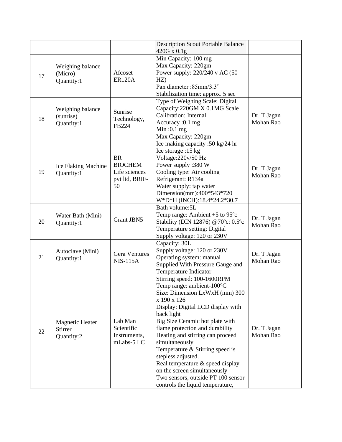|    |                                                        |                                                                      | <b>Description Scout Portable Balance</b><br>420G x 0.1g                                                                                                                                                                                                                                                                                                                                                                                                                                        |                          |
|----|--------------------------------------------------------|----------------------------------------------------------------------|-------------------------------------------------------------------------------------------------------------------------------------------------------------------------------------------------------------------------------------------------------------------------------------------------------------------------------------------------------------------------------------------------------------------------------------------------------------------------------------------------|--------------------------|
| 17 | Weighing balance<br>(Micro)<br>Quantity:1              | Afcoset<br><b>ER120A</b>                                             | Min Capacity: 100 mg<br>Max Capacity: 220gm<br>Power supply: 220/240 v AC (50<br>HZ)<br>Pan diameter: 85mm/3.3"<br>Stabilization time: approx. 5 sec                                                                                                                                                                                                                                                                                                                                            |                          |
| 18 | Weighing balance<br>(sunrise)<br>Quantity:1            | Sunrise<br>Technology,<br>FB224                                      | Type of Weighing Scale: Digital<br>Capacity:220GM X 0.1MG Scale<br>Calibration: Internal<br>Accuracy :0.1 mg<br>Min: $0.1$ mg<br>Max Capacity: 220gm                                                                                                                                                                                                                                                                                                                                            | Dr. T Jagan<br>Mohan Rao |
| 19 | Ice Flaking Machine<br>Quantity:1                      | <b>BR</b><br><b>BIOCHEM</b><br>Life sciences<br>pvt ltd, BRIF-<br>50 | Ice making capacity :50 kg/24 hr<br>Ice storage: 15 kg<br>Voltage: 220v/50 Hz<br>Power supply :380 W<br>Cooling type: Air cooling<br>Refrigerant: R134a<br>Water supply: tap water<br>Dimension(mm):400*543*720<br>W*D*H (INCH):18.4*24.2*30.7                                                                                                                                                                                                                                                  | Dr. T Jagan<br>Mohan Rao |
| 20 | Water Bath (Mini)<br>Quantity:1                        | <b>Grant JBN5</b>                                                    | Bath volume: 5L<br>Temp range: Ambient $+5$ to 95 $\degree$ c<br>Stability (DIN 12876) @70°c: 0.5°c<br>Temperature setting: Digital<br>Supply voltage: 120 or 230V                                                                                                                                                                                                                                                                                                                              | Dr. T Jagan<br>Mohan Rao |
| 21 | Autoclave (Mini)<br>Quantity:1                         | <b>Gera Ventures</b><br>$NIS-115A$                                   | Capacity: 30L<br>Supply voltage: 120 or 230V<br>Operating system: manual<br>Supplied With Pressure Gauge and<br>Temperature Indicator                                                                                                                                                                                                                                                                                                                                                           | Dr. T Jagan<br>Mohan Rao |
| 22 | <b>Magnetic Heater</b><br><b>Stirrer</b><br>Quantity:2 | Lab Man<br>Scientific<br>Instruments,<br>mLabs-5 LC                  | Stirring speed: 100-1600RPM<br>Temp range: ambient-100°C<br>Size: Dimension LxWxH (mm) 300<br>x 190 x 126<br>Display: Digital LCD display with<br>back light<br>Big Size Ceramic hot plate with<br>flame protection and durability<br>Heating and stirring can proceed<br>simultaneously<br>Temperature & Stirring speed is<br>stepless adjusted.<br>Real temperature & speed display<br>on the screen simultaneously<br>Two sensors, outside PT 100 sensor<br>controls the liquid temperature, | Dr. T Jagan<br>Mohan Rao |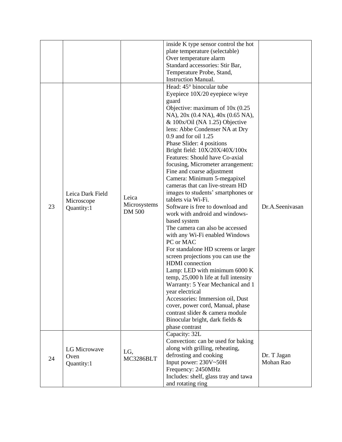|    |                                              |                                        | inside K type sensor control the hot<br>plate temperature (selectable)<br>Over temperature alarm<br>Standard accessories: Stir Bar,<br>Temperature Probe, Stand,<br><b>Instruction Manual.</b>                                                                                                                                                                                                                                                                                                                                                                                                                                                                                                                                                                                                                                                                                                                                                                                                                                                                                                                                 |                          |
|----|----------------------------------------------|----------------------------------------|--------------------------------------------------------------------------------------------------------------------------------------------------------------------------------------------------------------------------------------------------------------------------------------------------------------------------------------------------------------------------------------------------------------------------------------------------------------------------------------------------------------------------------------------------------------------------------------------------------------------------------------------------------------------------------------------------------------------------------------------------------------------------------------------------------------------------------------------------------------------------------------------------------------------------------------------------------------------------------------------------------------------------------------------------------------------------------------------------------------------------------|--------------------------|
| 23 | Leica Dark Field<br>Microscope<br>Quantity:1 | Leica<br>Microsystems<br><b>DM 500</b> | Head: 45° binocular tube<br>Eyepiece 10X/20 eyepiece w/eye<br>guard<br>Objective: maximum of $10x(0.25)$<br>NA), 20x (0.4 NA), 40x (0.65 NA),<br>$&$ 100x/Oil (NA 1.25) Objective<br>lens: Abbe Condenser NA at Dry<br>0.9 and for oil 1.25<br>Phase Slider: 4 positions<br>Bright field: 10X/20X/40X/100x<br>Features: Should have Co-axial<br>focusing, Micrometer arrangement:<br>Fine and coarse adjustment<br>Camera: Minimum 5-megapixel<br>cameras that can live-stream HD<br>images to students' smartphones or<br>tablets via Wi-Fi.<br>Software is free to download and<br>work with android and windows-<br>based system<br>The camera can also be accessed<br>with any Wi-Fi enabled Windows<br>PC or MAC<br>For standalone HD screens or larger<br>screen projections you can use the<br><b>HDMI</b> connection<br>Lamp: LED with minimum 6000 K<br>temp, 25,000 h life at full intensity<br>Warranty: 5 Year Mechanical and 1<br>year electrical<br>Accessories: Immersion oil, Dust<br>cover, power cord, Manual, phase<br>contrast slider & camera module<br>Binocular bright, dark fields &<br>phase contrast | Dr.A.Seenivasan          |
| 24 | LG Microwave<br>Oven<br>Quantity:1           | LG,<br>MC3286BLT                       | Capacity: 32L<br>Convection: can be used for baking<br>along with grilling, reheating,<br>defrosting and cooking<br>Input power: 230V~50H<br>Frequency: 2450MHz<br>Includes: shelf, glass tray and tawa<br>and rotating ring                                                                                                                                                                                                                                                                                                                                                                                                                                                                                                                                                                                                                                                                                                                                                                                                                                                                                                   | Dr. T Jagan<br>Mohan Rao |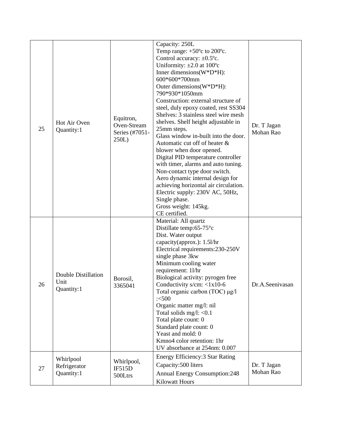| 25 | Hot Air Oven<br>Quantity:1                       | Equitron,<br>Oven-Stream<br>Series (#7051-<br>250L) | Capacity: 250L<br>Temp range: $+50^{\circ}$ c to 200 $^{\circ}$ c.<br>Control accuracy: $\pm 0.5^{\circ}$ c.<br>Uniformity: $\pm 2.0$ at 100°c<br>Inner dimensions $(W^*D^*H)$ :<br>600*600*700mm<br>Outer dimensions(W*D*H):<br>790*930*1050mm<br>Construction: external structure of<br>steel, duly epoxy coated, rest SS304<br>Shelves: 3 stainless steel wire mesh<br>shelves. Shelf height adjustable in<br>25mm steps.<br>Glass window in-built into the door.<br>Automatic cut off of heater &<br>blower when door opened.<br>Digital PID temperature controller<br>with timer, alarms and auto tuning.<br>Non-contact type door switch.<br>Aero dynamic internal design for<br>achieving horizontal air circulation.<br>Electric supply: 230V AC, 50Hz,<br>Single phase.<br>Gross weight: 145kg.<br>CE certified. | Dr. T Jagan<br>Mohan Rao |
|----|--------------------------------------------------|-----------------------------------------------------|---------------------------------------------------------------------------------------------------------------------------------------------------------------------------------------------------------------------------------------------------------------------------------------------------------------------------------------------------------------------------------------------------------------------------------------------------------------------------------------------------------------------------------------------------------------------------------------------------------------------------------------------------------------------------------------------------------------------------------------------------------------------------------------------------------------------------|--------------------------|
| 26 | <b>Double Distillation</b><br>Unit<br>Quantity:1 | Borosil,<br>3365041                                 | Material: All quartz<br>Distillate temp: $65-75^{\circ}c$<br>Dist. Water output<br>capacity(approx.): 1.51/hr<br>Electrical requirements:230-250V<br>single phase 3kw<br>Minimum cooling water<br>requirement: 11/hr<br>Biological activity: pyrogen free<br>Conductivity s/cm: $<$ 1x10-6<br>Total organic carbon (TOC) μg/l<br>3500<br>Organic matter mg/l: nil<br>Total solids mg/l: $< 0.1$<br>Total plate count: 0<br>Standard plate count: 0<br>Yeast and mold: 0<br>Kmno4 color retention: 1hr<br>UV absorbance at 254nm: 0.007                                                                                                                                                                                                                                                                                    | Dr.A.Seenivasan          |
| 27 | Whirlpool<br>Refrigerator<br>Quantity:1          | Whirlpool,<br>IF515D<br>500Ltrs                     | Energy Efficiency: 3 Star Rating<br>Capacity: 500 liters<br><b>Annual Energy Consumption:248</b><br><b>Kilowatt Hours</b>                                                                                                                                                                                                                                                                                                                                                                                                                                                                                                                                                                                                                                                                                                 | Dr. T Jagan<br>Mohan Rao |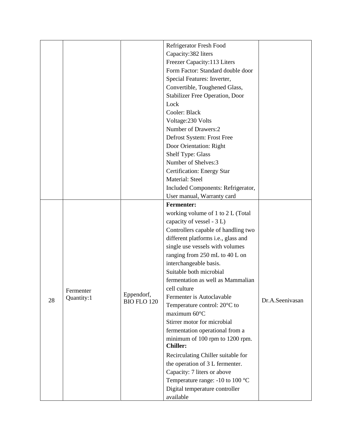|    |            |                                  | Refrigerator Fresh Food                |                 |
|----|------------|----------------------------------|----------------------------------------|-----------------|
|    |            |                                  | Capacity: 382 liters                   |                 |
|    |            |                                  | Freezer Capacity:113 Liters            |                 |
|    |            |                                  | Form Factor: Standard double door      |                 |
|    |            |                                  | Special Features: Inverter,            |                 |
|    |            |                                  | Convertible, Toughened Glass,          |                 |
|    |            |                                  | <b>Stabilizer Free Operation, Door</b> |                 |
|    |            |                                  | Lock                                   |                 |
|    |            |                                  | Cooler: Black                          |                 |
|    |            |                                  | Voltage: 230 Volts                     |                 |
|    |            |                                  | Number of Drawers:2                    |                 |
|    |            |                                  | Defrost System: Frost Free             |                 |
|    |            |                                  | Door Orientation: Right                |                 |
|    |            |                                  | Shelf Type: Glass                      |                 |
|    |            |                                  | Number of Shelves:3                    |                 |
|    |            |                                  | Certification: Energy Star             |                 |
|    |            |                                  | Material: Steel                        |                 |
|    |            |                                  | Included Components: Refrigerator,     |                 |
|    |            |                                  | User manual, Warranty card             |                 |
|    |            |                                  | <b>Fermenter:</b>                      |                 |
|    |            | Eppendorf,<br><b>BIO FLO 120</b> | working volume of 1 to 2 L (Total      |                 |
|    |            |                                  | capacity of vessel - 3 L)              |                 |
|    |            |                                  | Controllers capable of handling two    |                 |
|    |            |                                  | different platforms i.e., glass and    |                 |
|    |            |                                  | single use vessels with volumes        |                 |
|    |            |                                  | ranging from 250 mL to 40 L on         |                 |
|    |            |                                  | interchangeable basis.                 |                 |
|    |            |                                  | Suitable both microbial                |                 |
|    |            |                                  | fermentation as well as Mammalian      |                 |
|    | Fermenter  |                                  | cell culture                           |                 |
| 28 | Quantity:1 |                                  | Fermenter is Autoclavable              | Dr.A.Seenivasan |
|    |            |                                  | Temperature control: 20°C to           |                 |
|    |            |                                  | maximum 60°C                           |                 |
|    |            |                                  | Stirrer motor for microbial            |                 |
|    |            |                                  | fermentation operational from a        |                 |
|    |            |                                  | minimum of 100 rpm to 1200 rpm.        |                 |
|    |            |                                  | <b>Chiller:</b>                        |                 |
|    |            |                                  | Recirculating Chiller suitable for     |                 |
|    |            |                                  | the operation of 3 L fermenter.        |                 |
|    |            |                                  | Capacity: 7 liters or above            |                 |
|    |            |                                  | Temperature range: -10 to 100 °C       |                 |
|    |            |                                  | Digital temperature controller         |                 |
|    |            |                                  | available                              |                 |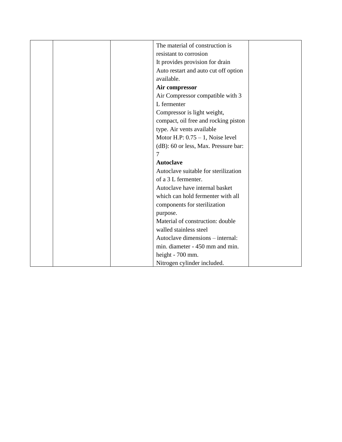|  |   | The material of construction is      |  |
|--|---|--------------------------------------|--|
|  |   | resistant to corrosion               |  |
|  |   | It provides provision for drain      |  |
|  |   | Auto restart and auto cut off option |  |
|  |   | available.                           |  |
|  |   | Air compressor                       |  |
|  |   | Air Compressor compatible with 3     |  |
|  |   | L fermenter                          |  |
|  |   | Compressor is light weight,          |  |
|  |   | compact, oil free and rocking piston |  |
|  |   | type. Air vents available            |  |
|  |   | Motor H.P: $0.75 - 1$ , Noise level  |  |
|  |   | (dB): 60 or less, Max. Pressure bar: |  |
|  | 7 |                                      |  |
|  |   | <b>Autoclave</b>                     |  |
|  |   | Autoclave suitable for sterilization |  |
|  |   | of a 3 L fermenter.                  |  |
|  |   | Autoclave have internal basket       |  |
|  |   | which can hold fermenter with all    |  |
|  |   | components for sterilization         |  |
|  |   | purpose.                             |  |
|  |   | Material of construction: double     |  |
|  |   | walled stainless steel               |  |
|  |   | Autoclave dimensions – internal:     |  |
|  |   | min. diameter - 450 mm and min.      |  |
|  |   | height - 700 mm.                     |  |
|  |   | Nitrogen cylinder included.          |  |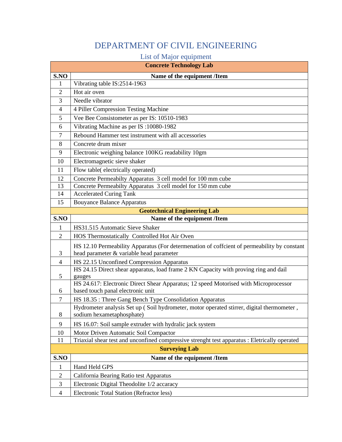### DEPARTMENT OF CIVIL ENGINEERING

#### List of Major equipment

|                | <b>Concrete Technology Lab</b>                                                                                                          |
|----------------|-----------------------------------------------------------------------------------------------------------------------------------------|
| S.NO           | Name of the equipment /Item                                                                                                             |
| 1              | Vibrating table IS:2514-1963                                                                                                            |
| $\overline{2}$ | Hot air oven                                                                                                                            |
| 3              | Needle vibrator                                                                                                                         |
| $\overline{4}$ | 4 Piller Compression Testing Machine                                                                                                    |
| 5              | Vee Bee Consistometer as per IS: 10510-1983                                                                                             |
| 6              | Vibrating Machine as per IS: 10080-1982                                                                                                 |
| $\tau$         | Rebound Hammer test instrument with all accessories                                                                                     |
| 8              | Concrete drum mixer                                                                                                                     |
| 9              | Electronic weighing balance 100KG readability 10gm                                                                                      |
| 10             | Electromagnetic sieve shaker                                                                                                            |
| 11             | Flow table(electrically operated)                                                                                                       |
| 12             | Concrete Permeabilty Apparatus 3 cell model for 100 mm cube                                                                             |
| 13             | Concrete Permeabilty Apparatus 3 cell model for 150 mm cube                                                                             |
| 14             | <b>Accelerated Curing Tank</b>                                                                                                          |
| 15             | <b>Bouyance Balance Apparatus</b>                                                                                                       |
|                | <b>Geotechnical Engineering Lab</b>                                                                                                     |
| S.NO           | Name of the equipment /Item                                                                                                             |
| $\mathbf{1}$   | HS31.515 Automatic Sieve Shaker                                                                                                         |
| $\overline{2}$ | HOS Thermostatically Controlled Hot Air Oven                                                                                            |
| 3              | HS 12.10 Permeability Apparatus (For determenation of coffcient of permeability by constant<br>head parameter & variable head parameter |
| $\overline{4}$ | HS 22.15 Unconfined Compression Apparatus                                                                                               |
| 5              | HS 24.15 Direct shear apparatus, load frame 2 KN Capacity with proving ring and dail<br>gauges                                          |
| 6              | HS 24.617: Electronic Direct Shear Apparatus; 12 speed Motorised with Microprocessor<br>based touch panal electronic unit               |
| $\overline{7}$ | HS 18.35 : Three Gang Bench Type Consolidation Apparatus                                                                                |
| 8              | Hydrometer analysis Set up (Soil hydrometer, motor operated stirrer, digital thermometer,<br>sodium hexametaphosphate)                  |
| 9              | HS 16.07: Soil sample extruder with hydralic jack system                                                                                |
| 10             | Motor Driven Automatic Soil Compactor                                                                                                   |
| 11             | Triaxial shear test and unconfined compressive strenght test apparatus : Eletrically operated                                           |
|                | <b>Surveying Lab</b>                                                                                                                    |
| S.NO           | Name of the equipment /Item                                                                                                             |
| 1              | Hand Held GPS                                                                                                                           |
| $\sqrt{2}$     | California Bearing Ratio test Apparatus                                                                                                 |
| 3              | Electronic Digital Theodolite 1/2 accaracy                                                                                              |
| $\overline{4}$ | Electronic Total Station (Refractor less)                                                                                               |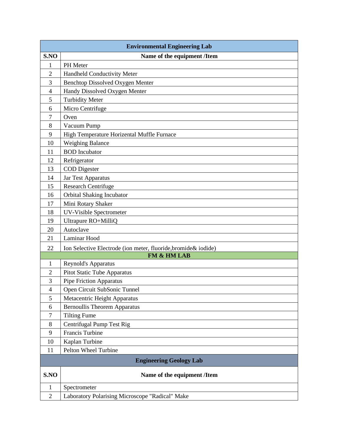|                | <b>Environmental Engineering Lab</b>                            |  |  |  |
|----------------|-----------------------------------------------------------------|--|--|--|
| S.NO           | Name of the equipment /Item                                     |  |  |  |
| 1              | PH Meter                                                        |  |  |  |
| $\overline{c}$ | Handheld Conductivity Meter                                     |  |  |  |
| 3              | Benchtop Dissolved Oxygen Menter                                |  |  |  |
| $\overline{4}$ | Handy Dissolved Oxygen Menter                                   |  |  |  |
| 5              | <b>Turbidity Meter</b>                                          |  |  |  |
| 6              | Micro Centrifuge                                                |  |  |  |
| 7              | Oven                                                            |  |  |  |
| 8              | Vacuum Pump                                                     |  |  |  |
| 9              | High Temperature Horizental Muffle Furnace                      |  |  |  |
| 10             | <b>Weighing Balance</b>                                         |  |  |  |
| 11             | <b>BOD</b> Incubator                                            |  |  |  |
| 12             | Refrigerator                                                    |  |  |  |
| 13             | <b>COD</b> Digester                                             |  |  |  |
| 14             | Jar Test Apparatus                                              |  |  |  |
| 15             | <b>Research Centrifuge</b>                                      |  |  |  |
| 16             | Orbital Shaking Incubator                                       |  |  |  |
| 17             | Mini Rotary Shaker                                              |  |  |  |
| 18             | <b>UV-Visible Spectrometer</b>                                  |  |  |  |
| 19             | Ultrapure RO+MilliQ                                             |  |  |  |
| 20             | Autoclave                                                       |  |  |  |
| 21             | Laminar Hood                                                    |  |  |  |
| 22             | Ion Selective Electrode (ion meter, fluoride, bromide & iodide) |  |  |  |
|                | FM & HM LAB                                                     |  |  |  |
| $\mathbf{1}$   | Reynold's Apparatus                                             |  |  |  |
| $\overline{2}$ | Pitot Static Tube Apparatus                                     |  |  |  |
| 3              | <b>Pipe Friction Apparatus</b>                                  |  |  |  |
| $\overline{4}$ | Open Circuit SubSonic Tunnel                                    |  |  |  |
| 5              | Metacentric Height Apparatus                                    |  |  |  |
| 6              | <b>Bernoullis Theorem Apparatus</b>                             |  |  |  |
| 7              | <b>Tilting Fume</b>                                             |  |  |  |
| 8              | Centrifugal Pump Test Rig                                       |  |  |  |
| 9              | <b>Francis Turbine</b>                                          |  |  |  |
| 10             | Kaplan Turbine                                                  |  |  |  |
| 11             | Pelton Wheel Turbine                                            |  |  |  |
|                | <b>Engineering Geology Lab</b>                                  |  |  |  |
| S.NO           | Name of the equipment /Item                                     |  |  |  |
| $\mathbf{1}$   | Spectrometer                                                    |  |  |  |
| $\mathfrak{2}$ | Laboratory Polarising Microscope "Radical" Make                 |  |  |  |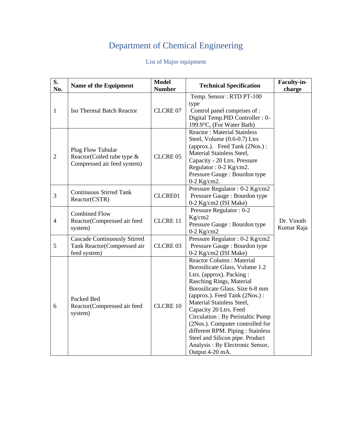## Department of Chemical Engineering

#### List of Major equipment

| S.<br>No.      | Name of the Equipment                                                              | <b>Model</b><br><b>Number</b> | <b>Technical Specification</b>                                                                                                                                                                                                                                                                                                                                                                                                                              | Faculty-in-<br>charge    |
|----------------|------------------------------------------------------------------------------------|-------------------------------|-------------------------------------------------------------------------------------------------------------------------------------------------------------------------------------------------------------------------------------------------------------------------------------------------------------------------------------------------------------------------------------------------------------------------------------------------------------|--------------------------|
| $\mathbf{1}$   | Iso Thermal Batch Reactor                                                          | CLCRE 07                      | Temp. Sensor: RTD PT-100<br>type<br>Control panel comprises of :<br>Digital Temp.PID Controller : 0-<br>199.9°C, (For Water Bath)                                                                                                                                                                                                                                                                                                                           |                          |
| $\mathfrak{2}$ | Plug Flow Tubular<br>Reactor(Coiled tube type &<br>Compressed air feed system)     | CLCRE 05                      | <b>Reactor: Material Stainless</b><br>Steel, Volume (0.6-0.7) Ltrs<br>(approx.). Feed Tank (2Nos.) :<br>Material Stainless Steel,<br>Capacity - 20 Ltrs. Pressure<br>Regulator: 0-2 Kg/cm2.<br>Pressure Gauge : Bourdon type<br>$0-2$ Kg/cm2.                                                                                                                                                                                                               |                          |
| $\mathfrak{Z}$ | <b>Continuous Stirred Tank</b><br>Reactor(CSTR)                                    | CLCRE01                       | Pressure Regulator: 0-2 Kg/cm2<br>Pressure Gauge : Bourdon type<br>0-2 Kg/cm2 (ISI Make)                                                                                                                                                                                                                                                                                                                                                                    |                          |
| $\overline{4}$ | <b>Combined Flow</b><br>Reactor(Compressed air feed<br>system)                     | <b>CLCRE 11</b>               | Pressure Regulator: 0-2<br>Kg/cm2<br>Pressure Gauge : Bourdon type<br>$0-2$ Kg/cm2                                                                                                                                                                                                                                                                                                                                                                          | Dr. Vinoth<br>Kumar Raja |
| $\mathfrak{S}$ | <b>Cascade Continuously Stirred</b><br>Tank Reactor(Compressed air<br>feed system) | CLCRE 03                      | Pressure Regulator: 0-2 Kg/cm2<br>Pressure Gauge : Bourdon type<br>0-2 Kg/cm2 (ISI Make)                                                                                                                                                                                                                                                                                                                                                                    |                          |
| 6              | Packed Bed<br>Reactor(Compressed air feed<br>system)                               | <b>CLCRE 10</b>               | <b>Reactor Column: Material</b><br>Borosilicate Glass, Volume 1.2<br>Ltrs. (approx). Packing:<br>Rasching Rings, Material<br>Borosilicate Glass. Size 6-8 mm<br>(approx.). Feed Tank (2Nos.):<br>Material Stainless Steel,<br>Capacity 20 Ltrs. Feed<br>Circulation : By Peristaltic Pump<br>(2Nos.). Computer controlled for<br>different RPM. Piping : Stainless<br>Steel and Silicon pipe. Product<br>Analysis: By Electronic Sensor,<br>Output 4-20 mA. |                          |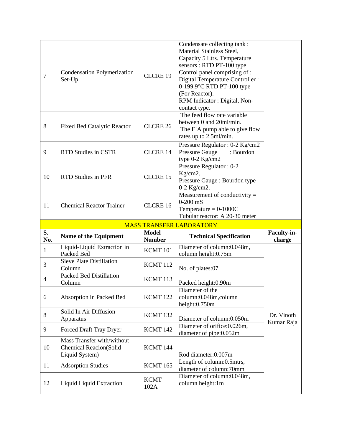| 7              | <b>Condensation Polymerization</b><br>Set-Up                            | <b>CLCRE 19</b>               | Condensate collecting tank:<br>Material Stainless Steel,<br>Capacity 5 Ltrs. Temperature<br>sensors: RTD PT-100 type<br>Control panel comprising of :<br>Digital Temperature Controller :<br>0-199.9°C RTD PT-100 type<br>(For Reactor).<br>RPM Indicator : Digital, Non-<br>contact type. |                       |
|----------------|-------------------------------------------------------------------------|-------------------------------|--------------------------------------------------------------------------------------------------------------------------------------------------------------------------------------------------------------------------------------------------------------------------------------------|-----------------------|
| 8              | <b>Fixed Bed Catalytic Reactor</b>                                      | CLCRE 26                      | The feed flow rate variable<br>between 0 and 20ml/min.<br>The FIA pump able to give flow<br>rates up to 2.5ml/min.                                                                                                                                                                         |                       |
| 9              | <b>RTD Studies in CSTR</b>                                              | <b>CLCRE 14</b>               | Pressure Regulator: 0-2 Kg/cm2<br><b>Pressure Gauge</b><br>: Bourdon<br>type 0-2 Kg/cm2                                                                                                                                                                                                    |                       |
| 10             | <b>RTD Studies in PFR</b>                                               | CLCRE 15                      | Pressure Regulator: 0-2<br>Kg/cm2.<br>Pressure Gauge : Bourdon type<br>$0-2$ Kg/cm2.                                                                                                                                                                                                       |                       |
| 11             | <b>Chemical Reactor Trainer</b>                                         | CLCRE 16                      | Measurement of conductivity $=$<br>$0-200$ mS<br>Temperature = $0-1000C$<br>Tubular reactor: A 20-30 meter                                                                                                                                                                                 |                       |
|                |                                                                         |                               |                                                                                                                                                                                                                                                                                            |                       |
|                |                                                                         |                               | <b>MASS TRANSFER LABORATORY</b>                                                                                                                                                                                                                                                            |                       |
| S.<br>No.      | Name of the Equipment                                                   | <b>Model</b><br><b>Number</b> | <b>Technical Specification</b>                                                                                                                                                                                                                                                             | Faculty-in-<br>charge |
| $\mathbf{1}$   | Liquid-Liquid Extraction in<br>Packed Bed                               | KCMT 101                      | Diameter of column:0.048m,<br>column height:0.75m                                                                                                                                                                                                                                          |                       |
| 3              | Sieve Plate Distillation<br>Column                                      | KCMT 112                      | No. of plates:07                                                                                                                                                                                                                                                                           |                       |
| $\overline{4}$ | <b>Packed Bed Distillation</b><br>Column                                | KCMT 113                      | Packed height:0.90m                                                                                                                                                                                                                                                                        |                       |
| 6              | Absorption in Packed Bed                                                | KCMT <sub>122</sub>           | Diameter of the<br>column:0.048m,column<br>height: $0.750m$                                                                                                                                                                                                                                |                       |
| 8              | Solid In Air Diffusion<br>Apparatus                                     | KCMT 132                      | Diameter of column:0.050m                                                                                                                                                                                                                                                                  | Dr. Vinoth            |
| 9              | Forced Draft Tray Dryer                                                 | KCMT 142                      | Diameter of orifice: 0.026m,<br>diameter of pipe:0.052m                                                                                                                                                                                                                                    | Kumar Raja            |
| 10             | Mass Transfer with/without<br>Chemical Reacion(Solid-<br>Liquid System) | KCMT 144                      | Rod diameter:0.007m                                                                                                                                                                                                                                                                        |                       |
| 11             | <b>Adsorption Studies</b>                                               | <b>KCMT 165</b>               | Length of column:0.5mtrs,<br>diameter of column:70mm                                                                                                                                                                                                                                       |                       |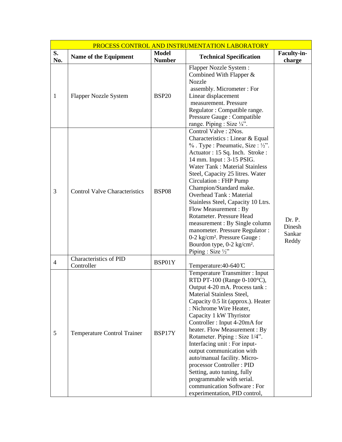| PROCESS CONTROL AND INSTRUMENTATION LABORATORY |                                             |                               |                                                                                                                                                                                                                                                                                                                                                                                                                                                                                                                                                                                                                         |                                     |
|------------------------------------------------|---------------------------------------------|-------------------------------|-------------------------------------------------------------------------------------------------------------------------------------------------------------------------------------------------------------------------------------------------------------------------------------------------------------------------------------------------------------------------------------------------------------------------------------------------------------------------------------------------------------------------------------------------------------------------------------------------------------------------|-------------------------------------|
| S.<br>No.                                      | Name of the Equipment                       | <b>Model</b><br><b>Number</b> | <b>Technical Specification</b>                                                                                                                                                                                                                                                                                                                                                                                                                                                                                                                                                                                          | Faculty-in-<br>charge               |
| $\mathbf{1}$                                   | <b>Flapper Nozzle System</b>                | <b>BSP20</b>                  | <b>Flapper Nozzle System:</b><br>Combined With Flapper $&$<br><b>Nozzle</b><br>assembly. Micrometer: For<br>Linear displacement<br>measurement. Pressure<br>Regulator: Compatible range.<br>Pressure Gauge: Compatible<br>range. Piping : Size 1/4".                                                                                                                                                                                                                                                                                                                                                                    |                                     |
| 3                                              | <b>Control Valve Characteristics</b>        | <b>BSP08</b>                  | Control Valve: 2Nos.<br>Characteristics : Linear & Equal<br>$\%$ . Type : Pneumatic, Size : ½".<br>Actuator: 15 Sq. Inch. Stroke:<br>14 mm. Input : 3-15 PSIG.<br><b>Water Tank: Material Stainless</b><br>Steel, Capacity 25 litres. Water<br>Circulation: FHP Pump<br>Champion/Standard make.<br><b>Overhead Tank: Material</b><br>Stainless Steel, Capacity 10 Ltrs.<br>Flow Measurement: By<br>Rotameter. Pressure Head<br>measurement : By Single column<br>manometer. Pressure Regulator:<br>0-2 kg/cm <sup>2</sup> . Pressure Gauge :<br>Bourdon type, 0-2 kg/cm <sup>2</sup> .<br>Piping : Size $\frac{1}{2}$ " | Dr. P.<br>Dinesh<br>Sankar<br>Reddy |
| $\overline{4}$                                 | <b>Characteristics of PID</b><br>Controller | BSP01Y                        | Temperature: 40-640 °C                                                                                                                                                                                                                                                                                                                                                                                                                                                                                                                                                                                                  |                                     |
| 5                                              | Temperature Control Trainer                 | BSP17Y                        | Temperature Transmitter: Input<br>RTD PT-100 (Range 0-100°C),<br>Output 4-20 mA. Process tank:<br>Material Stainless Steel,<br>Capacity 0.5 lit (approx.). Heater<br>: Nichrome Wire Heater,<br>Capacity 1 kW Thyristor<br>Controller: Input 4-20mA for<br>heater. Flow Measurement : By<br>Rotameter. Piping : Size 1/4".<br>Interfacing unit: For input-<br>output communication with<br>auto/manual facility. Micro-<br>processor Controller: PID<br>Setting, auto tuning, fully<br>programmable with serial.<br>communication Software: For<br>experimentation, PID control,                                        |                                     |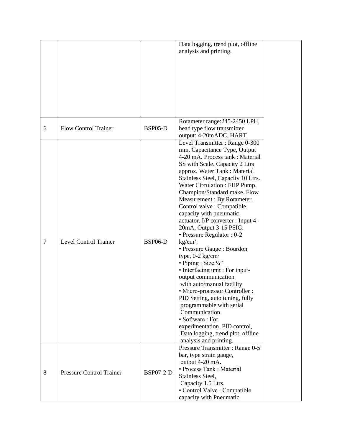|        |                                 |                  | Data logging, trend plot, offline<br>analysis and printing.                                                                                                                                                                                                                                                                                                                                                                                                                                                                                                                                                                                                                                                                                                                                                                                                                                                                |  |
|--------|---------------------------------|------------------|----------------------------------------------------------------------------------------------------------------------------------------------------------------------------------------------------------------------------------------------------------------------------------------------------------------------------------------------------------------------------------------------------------------------------------------------------------------------------------------------------------------------------------------------------------------------------------------------------------------------------------------------------------------------------------------------------------------------------------------------------------------------------------------------------------------------------------------------------------------------------------------------------------------------------|--|
|        |                                 |                  |                                                                                                                                                                                                                                                                                                                                                                                                                                                                                                                                                                                                                                                                                                                                                                                                                                                                                                                            |  |
|        |                                 |                  |                                                                                                                                                                                                                                                                                                                                                                                                                                                                                                                                                                                                                                                                                                                                                                                                                                                                                                                            |  |
|        |                                 |                  |                                                                                                                                                                                                                                                                                                                                                                                                                                                                                                                                                                                                                                                                                                                                                                                                                                                                                                                            |  |
|        |                                 |                  |                                                                                                                                                                                                                                                                                                                                                                                                                                                                                                                                                                                                                                                                                                                                                                                                                                                                                                                            |  |
|        |                                 |                  | Rotameter range: 245-2450 LPH,                                                                                                                                                                                                                                                                                                                                                                                                                                                                                                                                                                                                                                                                                                                                                                                                                                                                                             |  |
| 6      | <b>Flow Control Trainer</b>     | BSP05-D          | head type flow transmitter<br>output: 4-20mADC, HART                                                                                                                                                                                                                                                                                                                                                                                                                                                                                                                                                                                                                                                                                                                                                                                                                                                                       |  |
| $\tau$ | <b>Level Control Trainer</b>    | <b>BSP06-D</b>   | Level Transmitter: Range 0-300<br>mm, Capacitance Type, Output<br>4-20 mA. Process tank : Material<br>SS with Scale. Capacity 2 Ltrs<br>approx. Water Tank: Material<br>Stainless Steel, Capacity 10 Ltrs.<br>Water Circulation: FHP Pump.<br>Champion/Standard make. Flow<br>Measurement : By Rotameter.<br>Control valve : Compatible<br>capacity with pneumatic<br>actuator. I/P converter : Input 4-<br>20mA, Output 3-15 PSIG.<br>• Pressure Regulator : 0-2<br>kg/cm <sup>2</sup> .<br>• Pressure Gauge : Bourdon<br>type, $0-2$ kg/cm <sup>2</sup><br>• Piping : Size $\frac{1}{4}$ "<br>• Interfacing unit : For input-<br>output communication<br>with auto/manual facility<br>• Micro-processor Controller :<br>PID Setting, auto tuning, fully<br>programmable with serial<br>Communication<br>• Software : For<br>experimentation, PID control,<br>Data logging, trend plot, offline<br>analysis and printing. |  |
| 8      | <b>Pressure Control Trainer</b> | <b>BSP07-2-D</b> | Pressure Transmitter: Range 0-5<br>bar, type strain gauge,<br>output 4-20 mA.<br>• Process Tank : Material<br>Stainless Steel,<br>Capacity 1.5 Ltrs.<br>• Control Valve : Compatible<br>capacity with Pneumatic                                                                                                                                                                                                                                                                                                                                                                                                                                                                                                                                                                                                                                                                                                            |  |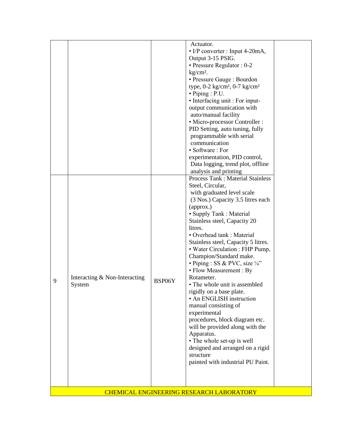|   |                                                 |        | Actuator.<br>$\cdot$ I/P converter : Input 4-20mA,<br>Output 3-15 PSIG.<br>• Pressure Regulator : 0-2 |  |  |  |  |
|---|-------------------------------------------------|--------|-------------------------------------------------------------------------------------------------------|--|--|--|--|
|   |                                                 |        | $kg/cm2$ .<br>• Pressure Gauge : Bourdon                                                              |  |  |  |  |
|   |                                                 |        | type, $0-2$ kg/cm <sup>2</sup> , $0-7$ kg/cm <sup>2</sup>                                             |  |  |  |  |
|   |                                                 |        | $\bullet$ Piping : P.U.<br>• Interfacing unit : For input-                                            |  |  |  |  |
|   |                                                 |        | output communication with                                                                             |  |  |  |  |
|   |                                                 |        | auto/manual facility<br>• Micro-processor Controller :                                                |  |  |  |  |
|   |                                                 |        | PID Setting, auto tuning, fully                                                                       |  |  |  |  |
|   |                                                 |        | programmable with serial                                                                              |  |  |  |  |
|   |                                                 |        | communication                                                                                         |  |  |  |  |
|   |                                                 |        | • Software : For<br>experimentation, PID control,                                                     |  |  |  |  |
|   |                                                 |        | Data logging, trend plot, offline                                                                     |  |  |  |  |
|   |                                                 |        | analysis and printing                                                                                 |  |  |  |  |
|   |                                                 |        | <b>Process Tank: Material Stainless</b>                                                               |  |  |  |  |
|   |                                                 |        | Steel, Circular,<br>with graduated level scale                                                        |  |  |  |  |
|   |                                                 |        | (3 Nos.) Capacity 3.5 litres each                                                                     |  |  |  |  |
|   |                                                 |        | (approx.)                                                                                             |  |  |  |  |
|   |                                                 |        | • Supply Tank : Material                                                                              |  |  |  |  |
|   |                                                 |        | Stainless steel, Capacity 20<br>litres.                                                               |  |  |  |  |
|   |                                                 |        | • Overhead tank : Material                                                                            |  |  |  |  |
|   |                                                 |        | Stainless steel, Capacity 5 litres.                                                                   |  |  |  |  |
|   |                                                 |        | • Water Circulation : FHP Pump,                                                                       |  |  |  |  |
|   |                                                 |        | Champion/Standard make.                                                                               |  |  |  |  |
|   |                                                 |        | • Piping : SS & PVC, size $\frac{1}{4}$ "<br>• Flow Measurement : By                                  |  |  |  |  |
|   | Interacting & Non-Interacting                   |        | Rotameter.                                                                                            |  |  |  |  |
| 9 | System                                          | BSP06Y | • The whole unit is assembled                                                                         |  |  |  |  |
|   |                                                 |        | rigidly on a base plate.                                                                              |  |  |  |  |
|   |                                                 |        | • An ENGLISH instruction<br>manual consisting of                                                      |  |  |  |  |
|   |                                                 |        | experimental                                                                                          |  |  |  |  |
|   |                                                 |        | procedures, block diagram etc.                                                                        |  |  |  |  |
|   |                                                 |        | will be provided along with the                                                                       |  |  |  |  |
|   |                                                 |        | Apparatus.<br>• The whole set-up is well                                                              |  |  |  |  |
|   |                                                 |        | designed and arranged on a rigid                                                                      |  |  |  |  |
|   |                                                 |        | structure                                                                                             |  |  |  |  |
|   |                                                 |        | painted with industrial PU Paint.                                                                     |  |  |  |  |
|   |                                                 |        |                                                                                                       |  |  |  |  |
|   |                                                 |        |                                                                                                       |  |  |  |  |
|   | <b>CHEMICAL ENGINEERING RESEARCH LABORATORY</b> |        |                                                                                                       |  |  |  |  |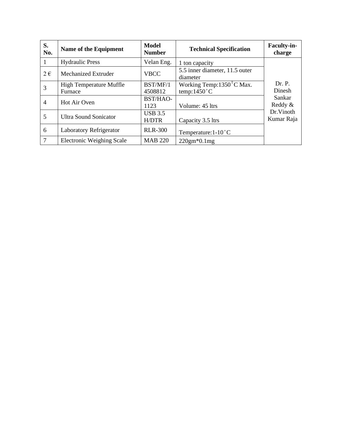| S.<br>No.      | Name of the Equipment                     | <b>Model</b><br><b>Number</b> | <b>Technical Specification</b>                         | <b>Faculty-in-</b><br>charge |
|----------------|-------------------------------------------|-------------------------------|--------------------------------------------------------|------------------------------|
|                | <b>Hydraulic Press</b>                    | Velan Eng.                    | 1 ton capacity                                         |                              |
| $2 \in$        | Mechanized Extruder                       | <b>VBCC</b>                   | 5.5 inner diameter, 11.5 outer<br>diameter             |                              |
| 3              | <b>High Temperature Muffle</b><br>Furnace | BST/MF/1<br>4508812           | Working Temp: $13508$ C Max.<br>temp: $1450^{\circ}$ C | Dr. P.<br>Dinesh             |
| $\overline{4}$ | Hot Air Oven                              | BST/HAO-<br>1123              | Volume: 45 ltrs                                        | Sankar<br>Reddy &            |
| 5              | <b>Ultra Sound Sonicator</b>              | <b>USB 3.5</b><br>H/DTR       | Capacity 3.5 ltrs                                      | Dr.Vinoth<br>Kumar Raja      |
| 6              | <b>Laboratory Refrigerator</b>            | <b>RLR-300</b>                | Temperature: $1-10^{\circ}$ C                          |                              |
| $\overline{7}$ | <b>Electronic Weighing Scale</b>          | <b>MAB 220</b>                | $220gm*0.1mg$                                          |                              |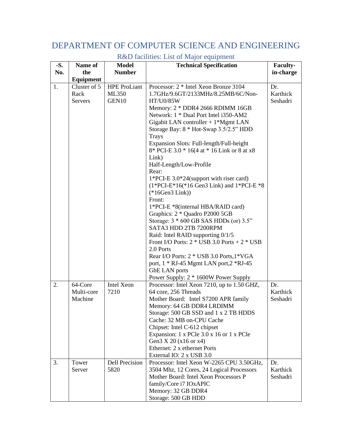#### DEPARTMENT OF COMPUTER SCIENCE AND ENGINEERING

| $-S.$ | Name of               | <b>Model</b>          | <b>Technical Specification</b>                                                          | Faculty-        |
|-------|-----------------------|-----------------------|-----------------------------------------------------------------------------------------|-----------------|
| No.   | the                   | <b>Number</b>         |                                                                                         | in-charge       |
|       | Equipment             |                       |                                                                                         |                 |
| 1.    | Cluster of 5          | <b>HPE ProLiant</b>   | Processor: 2 * Intel Xeon Bronze 3104                                                   | Dr.             |
|       | Rack                  | ML350                 | 1.7GHz/9.6GT/2133MHz/8.25MB/6C/Non-                                                     | Karthick        |
|       | <b>Servers</b>        | GEN10                 | HT/U0/85W                                                                               | Seshadri        |
|       |                       |                       | Memory: 2 * DDR4 2666 RDIMM 16GB                                                        |                 |
|       |                       |                       | Network: 1 * Dual Port Intel i350-AM2                                                   |                 |
|       |                       |                       | Gigabit LAN controller $+1^*Mgm$ LAN                                                    |                 |
|       |                       |                       | Storage Bay: 8 * Hot-Swap 3.5/2.5" HDD                                                  |                 |
|       |                       |                       | <b>Trays</b>                                                                            |                 |
|       |                       |                       | Expansion Slots: Full-length/Full-height<br>8* PCI-E 3.0 * 16(4 at * 16 Link or 8 at x8 |                 |
|       |                       |                       | Link)                                                                                   |                 |
|       |                       |                       | Half-Length/Low-Profile                                                                 |                 |
|       |                       |                       | Rear:                                                                                   |                 |
|       |                       |                       | $1*PCI-E$ 3.0 $*24$ (support with riser card)                                           |                 |
|       |                       |                       | $(1*PCI-E*16(*16 Gen3 Link)$ and $1*PCI-E*8$                                            |                 |
|       |                       |                       | $(*16Gen3 Link))$                                                                       |                 |
|       |                       |                       | Front:                                                                                  |                 |
|       |                       |                       | 1*PCI-E *8(internal HBA/RAID card)                                                      |                 |
|       |                       |                       | Graphics: 2 * Quadro P2000 5GB                                                          |                 |
|       |                       |                       | Storage: 3 * 600 GB SAS HDDs (or) 3.5"                                                  |                 |
|       |                       |                       | SATA3 HDD 2TB 7200RPM                                                                   |                 |
|       |                       |                       | Raid: Intel RAID supporting 0/1/5                                                       |                 |
|       |                       |                       | Front I/O Ports: $2 * USB$ 3.0 Ports + $2 * USB$                                        |                 |
|       |                       |                       | 2.0 Ports                                                                               |                 |
|       |                       |                       | Rear I/O Ports: 2 * USB 3.0 Ports, 1 * VGA                                              |                 |
|       |                       |                       | port, 1 * RJ-45 Mgmt LAN port, 2 * RJ-45                                                |                 |
|       |                       |                       | <b>GbE LAN</b> ports                                                                    |                 |
|       |                       | <b>Intel Xeon</b>     | Power Supply: 2 * 1600W Power Supply                                                    |                 |
| 2.    | 64-Core<br>Multi-core | 7210                  | Processor: Intel Xeon 7210, up to 1.50 GHZ,<br>64 core, 256 Threads                     | Dr.<br>Karthick |
|       | Machine               |                       | Mother Board: Intel S7200 APR family                                                    | Seshadri        |
|       |                       |                       | Memory: 64 GB DDR4 LRDIMM                                                               |                 |
|       |                       |                       | Storage: 500 GB SSD and 1 x 2 TB HDDS                                                   |                 |
|       |                       |                       | Cache: 32 MB on-CPU Cache                                                               |                 |
|       |                       |                       | Chipset: Intel C-612 chipset                                                            |                 |
|       |                       |                       | Expansion: 1 x PCle 3.0 x 16 or 1 x PCle                                                |                 |
|       |                       |                       | Gen3 X 20 (x16 or x4)                                                                   |                 |
|       |                       |                       | Ethernet: 2 x ethernet Ports                                                            |                 |
|       |                       |                       | External IO: 2 x USB 3.0                                                                |                 |
| 3.    | Tower                 | <b>Dell Precision</b> | Processor: Intel Xeon W-2265 CPU 3.50GHz,                                               | Dr.             |
|       | Server                | 5820                  | 3504 Mhz, 12 Cores, 24 Logical Processors                                               | Karthick        |
|       |                       |                       | Mother Board: Intel Xeon Processors P                                                   | Seshadri        |
|       |                       |                       | family/Core i7 IOxAPIC                                                                  |                 |
|       |                       |                       | Memory: 32 GB DDR4                                                                      |                 |
|       |                       |                       | Storage: 500 GB HDD                                                                     |                 |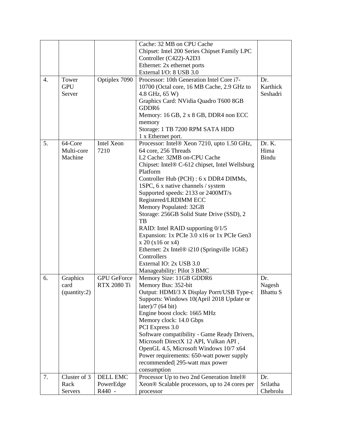|                  |              |                    | Cache: 32 MB on CPU Cache                      |                 |
|------------------|--------------|--------------------|------------------------------------------------|-----------------|
|                  |              |                    | Chipset: Intel 200 Series Chipset Family LPC   |                 |
|                  |              |                    | Controller (C422)-A2D3                         |                 |
|                  |              |                    | Ethernet: 2x ethernet ports                    |                 |
|                  |              |                    | External I/O: 8 USB 3.0                        |                 |
| $\overline{4}$ . | Tower        | Optiplex 7090      | Processor: 10th Generation Intel Core i7-      | Dr.             |
|                  | <b>GPU</b>   |                    | 10700 (Octal core, 16 MB Cache, 2.9 GHz to     | Karthick        |
|                  | Server       |                    | 4.8 GHz, 65 W)                                 | Seshadri        |
|                  |              |                    | Graphics Card: NVidia Quadro T600 8GB          |                 |
|                  |              |                    | GDDR6                                          |                 |
|                  |              |                    | Memory: 16 GB, 2 x 8 GB, DDR4 non ECC          |                 |
|                  |              |                    | memory                                         |                 |
|                  |              |                    | Storage: 1 TB 7200 RPM SATA HDD                |                 |
|                  |              |                    | 1 x Ethernet port.                             |                 |
| 5.               | 64-Core      | Intel Xeon         | Processor: Intel® Xeon 7210, upto 1.50 GHz,    | Dr. K.          |
|                  | Multi-core   | 7210               | 64 core, 256 Threads                           | Hima            |
|                  | Machine      |                    | L2 Cache: 32MB on-CPU Cache                    | Bindu           |
|                  |              |                    | Chipset: Intel® C-612 chipset, Intel Wellsburg |                 |
|                  |              |                    | Platform                                       |                 |
|                  |              |                    | Controller Hub (PCH) : 6 x DDR4 DIMMs,         |                 |
|                  |              |                    | 1SPC, 6 x native channels / system             |                 |
|                  |              |                    | Supported speeds: 2133 or 2400MT/s             |                 |
|                  |              |                    | Registered/LRDIMM ECC                          |                 |
|                  |              |                    | Memory Populated: 32GB                         |                 |
|                  |              |                    | Storage: 256GB Solid State Drive (SSD), 2      |                 |
|                  |              |                    | TB                                             |                 |
|                  |              |                    | RAID: Intel RAID supporting 0/1/5              |                 |
|                  |              |                    | Expansion: 1x PCIe 3.0 x16 or 1x PCIe Gen3     |                 |
|                  |              |                    | x 20 (x16 or x4)                               |                 |
|                  |              |                    | Ethernet: 2x Intel® i210 (Springville 1GbE)    |                 |
|                  |              |                    | Controllers                                    |                 |
|                  |              |                    | External IO: 2x USB 3.0                        |                 |
|                  |              |                    | Manageability: Pilot 3 BMC                     |                 |
| 6.               | Graphics     | <b>GPU</b> GeForce | Memory Size: 11GB GDDR6                        | Dr.             |
|                  | card         | <b>RTX 2080 Ti</b> | Memory Bus: 352-bit                            | Nagesh          |
|                  | (quantity:2) |                    | Output: HDMI/3 X Display Porrt/USB Type-c      | <b>Bhattu S</b> |
|                  |              |                    | Supports: Windows 10(April 2018 Update or      |                 |
|                  |              |                    | later)/7 $(64 \text{ bit})$                    |                 |
|                  |              |                    | Engine boost clock: 1665 MHz                   |                 |
|                  |              |                    | Memory clock: 14.0 Gbps                        |                 |
|                  |              |                    | PCI Express 3.0                                |                 |
|                  |              |                    | Software compatibility - Game Ready Drivers,   |                 |
|                  |              |                    | Microsoft DirectX 12 API, Vulkan API,          |                 |
|                  |              |                    | OpenGL 4.5, Microsoft Windows 10/7 x64         |                 |
|                  |              |                    | Power requirements: 650-watt power supply      |                 |
|                  |              |                    | recommended 295-watt max power                 |                 |
|                  |              |                    | consumption                                    |                 |
| 7.               | Cluster of 3 | <b>DELL EMC</b>    | Processor Up to two 2nd Generation Intel®      | Dr.             |
|                  | Rack         | PowerEdge          | Xeon® Scalable processors, up to 24 cores per  | Srilatha        |
|                  | Servers      | R440 -             | processor                                      | Chebrolu        |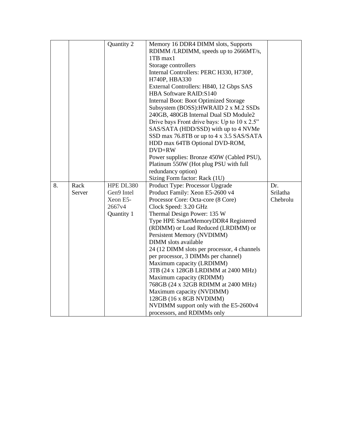|    |        | Quantity 2 | Memory 16 DDR4 DIMM slots, Supports                  |          |
|----|--------|------------|------------------------------------------------------|----------|
|    |        |            | RDIMM /LRDIMM, speeds up to 2666MT/s,                |          |
|    |        |            | 1TB max1                                             |          |
|    |        |            | Storage controllers                                  |          |
|    |        |            |                                                      |          |
|    |        |            | Internal Controllers: PERC H330, H730P,              |          |
|    |        |            | H740P, HBA330                                        |          |
|    |        |            | External Controllers: H840, 12 Gbps SAS              |          |
|    |        |            | <b>HBA Software RAID:S140</b>                        |          |
|    |        |            | Internal Boot: Boot Optimized Storage                |          |
|    |        |            | Subsystem (BOSS): HWRAID 2 x M.2 SSDs                |          |
|    |        |            | 240GB, 480GB Internal Dual SD Module2                |          |
|    |        |            | Drive bays Front drive bays: Up to $10 \times 2.5$ " |          |
|    |        |            | SAS/SATA (HDD/SSD) with up to 4 NVMe                 |          |
|    |        |            | SSD max 76.8TB or up to 4 x 3.5 SAS/SATA             |          |
|    |        |            | HDD max 64TB Optional DVD-ROM,                       |          |
|    |        |            | DVD+RW                                               |          |
|    |        |            | Power supplies: Bronze 450W (Cabled PSU),            |          |
|    |        |            | Platinum 550W (Hot plug PSU with full                |          |
|    |        |            | redundancy option)                                   |          |
|    |        |            | Sizing Form factor: Rack (1U)                        |          |
| 8. | Rack   | HPE DL380  | Product Type: Processor Upgrade                      | Dr.      |
|    | Server | Gen9 Intel | Product Family: Xeon E5-2600 v4                      | Srilatha |
|    |        | Xeon E5-   | Processor Core: Octa-core (8 Core)                   | Chebrolu |
|    |        | 2667v4     | Clock Speed: 3.20 GHz                                |          |
|    |        | Quantity 1 | Thermal Design Power: 135 W                          |          |
|    |        |            | Type HPE SmartMemoryDDR4 Registered                  |          |
|    |        |            | (RDIMM) or Load Reduced (LRDIMM) or                  |          |
|    |        |            | Persistent Memory (NVDIMM)                           |          |
|    |        |            | DIMM slots available                                 |          |
|    |        |            | 24 (12 DIMM slots per processor, 4 channels          |          |
|    |        |            | per processor, 3 DIMMs per channel)                  |          |
|    |        |            | Maximum capacity (LRDIMM)                            |          |
|    |        |            | 3TB (24 x 128GB LRDIMM at 2400 MHz)                  |          |
|    |        |            | Maximum capacity (RDIMM)                             |          |
|    |        |            | 768GB (24 x 32GB RDIMM at 2400 MHz)                  |          |
|    |        |            | Maximum capacity (NVDIMM)                            |          |
|    |        |            | 128GB (16 x 8GB NVDIMM)                              |          |
|    |        |            | NVDIMM support only with the E5-2600v4               |          |
|    |        |            | processors, and RDIMMs only                          |          |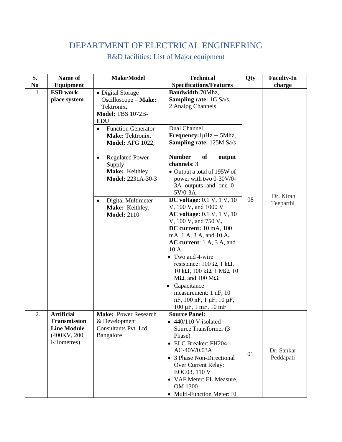#### DEPARTMENT OF ELECTRICAL ENGINEERING

| S.             | Name of                                                                                       | Make/Model                                                                                        | <b>Technical</b>                                                                                                                                                                                                                                                                                                                                                                                                                                                                                                         | Qty | <b>Faculty-In</b>       |
|----------------|-----------------------------------------------------------------------------------------------|---------------------------------------------------------------------------------------------------|--------------------------------------------------------------------------------------------------------------------------------------------------------------------------------------------------------------------------------------------------------------------------------------------------------------------------------------------------------------------------------------------------------------------------------------------------------------------------------------------------------------------------|-----|-------------------------|
| N <sub>0</sub> | <b>Equipment</b>                                                                              |                                                                                                   | <b>Specifications/Features</b>                                                                                                                                                                                                                                                                                                                                                                                                                                                                                           |     | charge                  |
| 1.             | <b>ESD</b> work<br>place system                                                               | • Digital Storage<br>Oscilloscope - Make:<br>Tektronix,<br><b>Model: TBS 1072B-</b><br><b>EDU</b> | Bandwidth:70Mhz,<br><b>Sampling rate:</b> 1G Sa/s,<br>2 Analog Channels                                                                                                                                                                                                                                                                                                                                                                                                                                                  |     |                         |
|                |                                                                                               | Function Generator-<br>$\bullet$<br>Make: Tektronix,<br><b>Model: AFG 1022,</b>                   | Dual Channel,<br>Frequency: $1\mu$ Hz - 5Mhz,<br><b>Sampling rate: 125M Sa/s</b>                                                                                                                                                                                                                                                                                                                                                                                                                                         |     |                         |
|                |                                                                                               | <b>Regulated Power</b><br>$\bullet$<br>Supply-<br>Make: Keithley<br>Model: 2231A-30-3             | <b>Number</b><br>of<br>output<br>channels: 3<br>• Output a total of 195W of<br>power with two 0-30V/0-<br>3A outputs and one 0-<br>$5V/0-3A$                                                                                                                                                                                                                                                                                                                                                                             |     |                         |
|                |                                                                                               | Digital Multimeter<br>$\bullet$<br>Make: Keithley,<br><b>Model: 2110</b>                          | <b>DC</b> voltage: 0.1 V, 1 V, 10<br>V, 100 V, and 1000 V<br><b>AC voltage:</b> 0.1 V, 1 V, 10<br>V, 100 V, and 750 V,<br>DC current: 10 mA, 100<br>mA, 1 A, 3 A, and 10 A,<br>AC current: 1 A, 3 A, and<br>10A<br>• Two and 4-wire<br>resistance: $100 \Omega$ , $1 k\Omega$ ,<br>$10 \text{ k}\Omega$ , $100 \text{ k}\Omega$ , $1 \text{ M}\Omega$ , $10$<br>$M\Omega$ , and 100 $M\Omega$<br>Capacitance<br>$\bullet$<br>measurement: 1 nF, 10<br>$nF$ , 100 nF, 1 $\mu$ F, 10 $\mu$ F,<br>$100 \mu F$ , 1 mF, 10 mF | 08  | Dr. Kiran<br>Teeparthi  |
| 2.             | <b>Artificial</b><br><b>Transmission</b><br><b>Line Module</b><br>(400KV, 200)<br>Kilometres) | Make: Power Research<br>& Development<br>Consultants Pvt. Ltd,<br>Bangalore                       | <b>Source Panel:</b><br>$\bullet$ 440/110 V isolated<br>Source Transformer (3<br>Phase)<br>• ELC Breaker: FH204<br>AC-40V/0.03A<br>• 3 Phase Non-Directional<br>Over Current Relay:<br>EOC03, 110 V<br>• VAF Meter: EL Measure,<br>OM 1300<br>• Multi-Function Meter: EL                                                                                                                                                                                                                                                 | 01  | Dr. Sankar<br>Peddapati |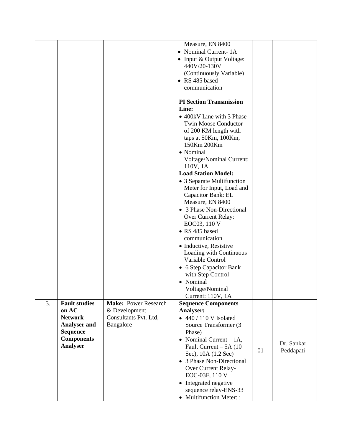|    |                      |                             | Measure, EN 8400                 |    |            |
|----|----------------------|-----------------------------|----------------------------------|----|------------|
|    |                      |                             | • Nominal Current-1A             |    |            |
|    |                      |                             | • Input & Output Voltage:        |    |            |
|    |                      |                             | 440V/20-130V                     |    |            |
|    |                      |                             | (Continuously Variable)          |    |            |
|    |                      |                             |                                  |    |            |
|    |                      |                             | • RS 485 based                   |    |            |
|    |                      |                             | communication                    |    |            |
|    |                      |                             |                                  |    |            |
|    |                      |                             | <b>PI Section Transmission</b>   |    |            |
|    |                      |                             | Line:                            |    |            |
|    |                      |                             | • 400 kV Line with 3 Phase       |    |            |
|    |                      |                             | <b>Twin Moose Conductor</b>      |    |            |
|    |                      |                             | of 200 KM length with            |    |            |
|    |                      |                             | taps at 50Km, 100Km,             |    |            |
|    |                      |                             | 150Km 200Km                      |    |            |
|    |                      |                             | • Nominal                        |    |            |
|    |                      |                             | <b>Voltage/Nominal Current:</b>  |    |            |
|    |                      |                             | 110V, 1A                         |    |            |
|    |                      |                             | <b>Load Station Model:</b>       |    |            |
|    |                      |                             | • 3 Separate Multifunction       |    |            |
|    |                      |                             |                                  |    |            |
|    |                      |                             | Meter for Input, Load and        |    |            |
|    |                      |                             | Capacitor Bank: EL               |    |            |
|    |                      |                             | Measure, EN 8400                 |    |            |
|    |                      |                             | • 3 Phase Non-Directional        |    |            |
|    |                      |                             | Over Current Relay:              |    |            |
|    |                      |                             | EOC03, 110 V                     |    |            |
|    |                      |                             | • RS 485 based                   |    |            |
|    |                      |                             | communication                    |    |            |
|    |                      |                             | • Inductive, Resistive           |    |            |
|    |                      |                             | Loading with Continuous          |    |            |
|    |                      |                             | Variable Control                 |    |            |
|    |                      |                             | • 6 Step Capacitor Bank          |    |            |
|    |                      |                             | with Step Control                |    |            |
|    |                      |                             | • Nominal                        |    |            |
|    |                      |                             | Voltage/Nominal                  |    |            |
|    |                      |                             | Current: 110V, 1A                |    |            |
| 3. | <b>Fault studies</b> | <b>Make: Power Research</b> | <b>Sequence Components</b>       |    |            |
|    | on AC                | & Development               | Analyser:                        |    |            |
|    | <b>Network</b>       | Consultants Pvt. Ltd,       | $\bullet$ 440 / 110 V Isolated   |    |            |
|    | <b>Analyser and</b>  | Bangalore                   | Source Transformer (3            |    |            |
|    | <b>Sequence</b>      |                             | Phase)                           |    |            |
|    | <b>Components</b>    |                             |                                  |    |            |
|    | Analyser             |                             | • Nominal Current $-1A$ ,        |    | Dr. Sankar |
|    |                      |                             | Fault Current $-5A(10)$          | 01 | Peddapati  |
|    |                      |                             | Sec), 10A (1.2 Sec)              |    |            |
|    |                      |                             | • 3 Phase Non-Directional        |    |            |
|    |                      |                             | Over Current Relay-              |    |            |
|    |                      |                             | EOC-03F, 110 V                   |    |            |
|    |                      |                             | Integrated negative<br>$\bullet$ |    |            |
|    |                      |                             | sequence relay-ENS-33            |    |            |
|    |                      |                             | • Multifunction Meter: :         |    |            |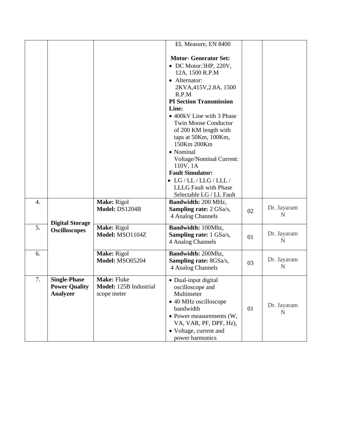|    |                                                                |                                                      | EL Measure, EN 8400                                                                                                                                                                                                                                                                                                                                                                                                                                                   |    |                          |
|----|----------------------------------------------------------------|------------------------------------------------------|-----------------------------------------------------------------------------------------------------------------------------------------------------------------------------------------------------------------------------------------------------------------------------------------------------------------------------------------------------------------------------------------------------------------------------------------------------------------------|----|--------------------------|
|    |                                                                |                                                      | <b>Motor- Generator Set:</b><br>• DC Motor:3HP, 220V,<br>12A, 1500 R.P.M<br>• Alternator:<br>2KVA, 415V, 2.8A, 1500<br>R.P.M<br><b>PI Section Transmission</b><br>Line:<br>• 400 kV Line with 3 Phase<br><b>Twin Moose Conductor</b><br>of 200 KM length with<br>taps at 50Km, 100Km,<br>150Km 200Km<br>• Nominal<br>Voltage/Nominal Current:<br>110V, 1A<br><b>Fault Simulator:</b><br>$\bullet$ LG/LL/LLG/LLL/<br>LLLG Fault with Phase<br>Selectable LG / LL Fault |    |                          |
| 4. | <b>Digital Storage</b>                                         | Make: Rigol<br>Model: DS1204B                        | Bandwidth: 200 MHz,<br><b>Sampling rate: 2 GSa/s,</b><br>4 Analog Channels                                                                                                                                                                                                                                                                                                                                                                                            | 02 | Dr. Jayaram<br>N         |
| 5. | <b>Oscilloscopes</b>                                           | Make: Rigol<br>Model: MSO1104Z                       | Bandwidth: 100Mhz,<br><b>Sampling rate:</b> 1 GSa/s,<br>4 Analog Channels                                                                                                                                                                                                                                                                                                                                                                                             | 01 | Dr. Jayaram<br>N         |
| 6. |                                                                | Make: Rigol<br><b>Model: MSO05204</b>                | Bandwidth: 200Mhz,<br><b>Sampling rate: 8GSa/s,</b><br>4 Analog Channels                                                                                                                                                                                                                                                                                                                                                                                              | 03 | Dr. Jayaram<br>${\bf N}$ |
| 7. | <b>Single-Phase</b><br><b>Power Quality</b><br><b>Analyzer</b> | Make: Fluke<br>Model: 125B Industrial<br>scope meter | • Dual-input digital<br>oscilloscope and<br>Multimeter<br>• 40 MHz oscilloscope<br>bandwidth<br>• Power measurements (W,<br>VA, VAR, PF, DPF, Hz),<br>• Voltage, current and<br>power harmonics                                                                                                                                                                                                                                                                       | 01 | Dr. Jayaram<br>N         |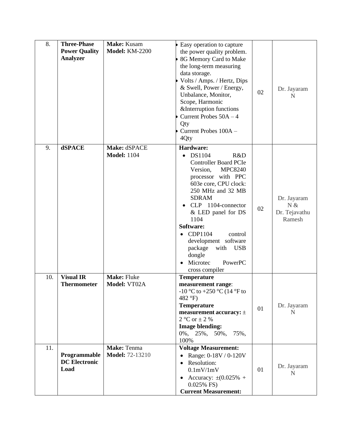| 8.  | <b>Three-Phase</b><br><b>Power Quality</b><br><b>Analyzer</b> | Make: Kusam<br><b>Model: KM-2200</b>  | Easy operation to capture<br>the power quality problem.<br>8G Memory Card to Make<br>the long-term measuring<br>data storage.<br>Volts / Amps. / Hertz, Dips<br>& Swell, Power / Energy,<br>Unbalance, Monitor,<br>Scope, Harmonic                                                                                                                                                           | 02 | Dr. Jayaram<br>N                              |
|-----|---------------------------------------------------------------|---------------------------------------|----------------------------------------------------------------------------------------------------------------------------------------------------------------------------------------------------------------------------------------------------------------------------------------------------------------------------------------------------------------------------------------------|----|-----------------------------------------------|
|     |                                                               |                                       | &Interruption functions<br>Current Probes $50A - 4$<br>Qty<br>Current Probes 100A -<br>4Qty                                                                                                                                                                                                                                                                                                  |    |                                               |
| 9.  | <b>dSPACE</b>                                                 | Make: dSPACE<br><b>Model: 1104</b>    | Hardware:<br>DS1104<br>R&D<br>$\bullet$<br><b>Controller Board PCIe</b><br><b>MPC8240</b><br>Version,<br>processor with PPC<br>603e core, CPU clock:<br>250 MHz and 32 MB<br><b>SDRAM</b><br>CLP 1104-connector<br>& LED panel for DS<br>1104<br>Software:<br>CDP1104<br>control<br>development software<br>package<br><b>USB</b><br>with<br>dongle<br>Microtec<br>PowerPC<br>cross compiler | 02 | Dr. Jayaram<br>N &<br>Dr. Tejavathu<br>Ramesh |
| 10. | <b>Visual IR</b><br><b>Thermometer</b>                        | <b>Make: Fluke</b><br>Model: VT02A    | <b>Temperature</b><br>measurement range:<br>-10 °C to +250 °C (14 °F to<br>482 $\mathrm{^{\circ}F}$ )<br><b>Temperature</b><br>measurement accuracy: $\pm$<br>2 °C or $\pm$ 2 %<br><b>Image blending:</b><br>$0\%, 25\%, 50\%, 75\%,$<br>100%                                                                                                                                                | 01 | Dr. Jayaram<br>N                              |
| 11. | Programmable<br><b>DC</b> Electronic<br>Load                  | Make: Tenma<br><b>Model: 72-13210</b> | <b>Voltage Measurement:</b><br>Range: 0-18V / 0-120V<br>Resolution:<br>$\bullet$<br>0.1mV/1mV<br>• Accuracy: $\pm (0.025\% +$<br>0.025% FS)<br><b>Current Measurement:</b>                                                                                                                                                                                                                   | 01 | Dr. Jayaram<br>N                              |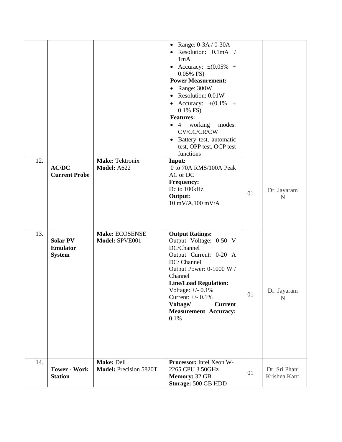|     |                                                     |                                              | • Range: $0-3A / 0-30A$<br>Resolution: 0.1mA /<br>$\bullet$<br>1mA<br>Accuracy: $\pm (0.05\% +$<br>$\bullet$<br>$0.05\%$ FS)<br><b>Power Measurement:</b><br>Range: 300W<br>$\bullet$<br>Resolution: 0.01W<br>$\bullet$<br>Accuracy: $\pm (0.1\% +$<br>$0.1\%$ FS)<br><b>Features:</b><br>working<br>$\bullet$ 4<br>modes:<br>CV/CC/CR/CW<br>Battery test, automatic<br>$\bullet$<br>test, OPP test, OCP test<br>functions |    |                                |
|-----|-----------------------------------------------------|----------------------------------------------|----------------------------------------------------------------------------------------------------------------------------------------------------------------------------------------------------------------------------------------------------------------------------------------------------------------------------------------------------------------------------------------------------------------------------|----|--------------------------------|
| 12. | <b>AC/DC</b><br><b>Current Probe</b>                | <b>Make: Tektronix</b><br><b>Model: A622</b> | Input:<br>0 to 70A RMS/100A Peak<br>AC or DC<br><b>Frequency:</b><br>Dc to 100kHz<br>Output:<br>$10 \text{ mV/A}, 100 \text{ mV/A}$                                                                                                                                                                                                                                                                                        | 01 | Dr. Jayaram<br>N               |
| 13. | <b>Solar PV</b><br><b>Emulator</b><br><b>System</b> | Make: ECOSENSE<br>Model: SPVE001             | <b>Output Ratings:</b><br>Output Voltage: 0-50 V<br>DC/Channel<br>Output Current: 0-20 A<br>DC/ Channel<br>Output Power: 0-1000 W /<br>Channel<br><b>Line/Load Regulation:</b><br>Voltage: $+/- 0.1\%$<br>Current: $+/- 0.1\%$<br>Voltage/<br><b>Current</b><br><b>Measurement Accuracy:</b><br>0.1%                                                                                                                       | 01 | Dr. Jayaram<br>$\mathbf N$     |
| 14. | <b>Tower - Work</b><br><b>Station</b>               | Make: Dell<br>Model: Precision 5820T         | Processor: Intel Xeon W-<br>2265 CPU 3.50GHz<br>Memory: 32 GB<br>Storage: 500 GB HDD                                                                                                                                                                                                                                                                                                                                       | 01 | Dr. Sri Phani<br>Krishna Karri |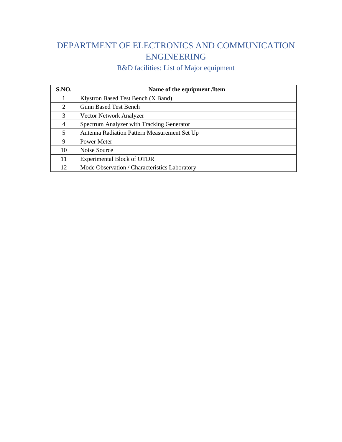#### DEPARTMENT OF ELECTRONICS AND COMMUNICATION ENGINEERING

| <b>S.NO.</b> | Name of the equipment /Item                   |
|--------------|-----------------------------------------------|
|              | Klystron Based Test Bench (X Band)            |
| 2            | <b>Gunn Based Test Bench</b>                  |
| 3            | Vector Network Analyzer                       |
| 4            | Spectrum Analyzer with Tracking Generator     |
| 5            | Antenna Radiation Pattern Measurement Set Up  |
| 9            | Power Meter                                   |
| 10           | Noise Source                                  |
| 11           | <b>Experimental Block of OTDR</b>             |
| 12           | Mode Observation / Characteristics Laboratory |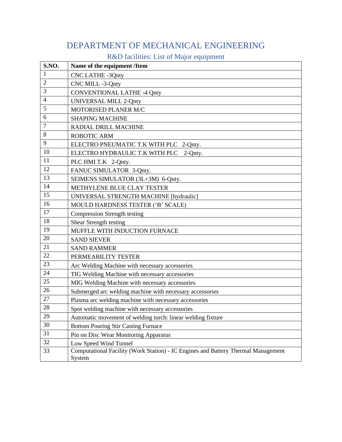#### DEPARTMENT OF MECHANICAL ENGINEERING

| S.NO.          | Name of the equipment /Item                                                                 |  |  |
|----------------|---------------------------------------------------------------------------------------------|--|--|
| 1              | <b>CNC LATHE -3Qnty</b>                                                                     |  |  |
| $\overline{2}$ | CNC MILL -3-Qnty                                                                            |  |  |
| 3              | <b>CONVENTIONAL LATHE -4 Qnty</b>                                                           |  |  |
| $\overline{4}$ | UNIVERSAL MILL 2-Qnty                                                                       |  |  |
| 5              | MOTORISED PLANER M/C                                                                        |  |  |
| 6              | <b>SHAPING MACHINE</b>                                                                      |  |  |
| 7              | RADIAL DRILL MACHINE                                                                        |  |  |
| 8              | <b>ROBOTIC ARM</b>                                                                          |  |  |
| 9              | ELECTRO PNEUMATIC T.K WITH PLC 2-Qnty.                                                      |  |  |
| 10             | ELECTRO HYDRAULIC T.K WITH PLC 2-Qnty.                                                      |  |  |
| 11             | PLC HMI T.K 2-Qnty.                                                                         |  |  |
| 12             | FANUC SIMULATOR 3-Qnty.                                                                     |  |  |
| 13             | SEIMENS SIMULATOR (3L+3M) 6-Qnty.                                                           |  |  |
| 14             | METHYLENE BLUE CLAY TESTER                                                                  |  |  |
| 15             | UNIVERSAL STRENGTH MACHINE [hydraulic]                                                      |  |  |
| 16             | MOULD HARDNESS TESTER ('B' SCALE)                                                           |  |  |
| 17             | <b>Compression Strength testing</b>                                                         |  |  |
| 18             | Shear Strength testing                                                                      |  |  |
| 19             | MUFFLE WITH INDUCTION FURNACE                                                               |  |  |
| 20             | <b>SAND SIEVER</b>                                                                          |  |  |
| 21             | <b>SAND RAMMER</b>                                                                          |  |  |
| 22             | PERMEABILITY TESTER                                                                         |  |  |
| 23             | Arc Welding Machine with necessary accessories                                              |  |  |
| 24             | TIG Welding Machine with necessary accessories                                              |  |  |
| 25             | MIG Welding Machine with necessary accessories                                              |  |  |
| 26             | Submerged arc welding machine with necessary accessories                                    |  |  |
| 27             | Plasma arc welding machine with necessary accessories                                       |  |  |
| 28             | Spot welding machine with necessary accessories                                             |  |  |
| 29             | Automatic movement of welding torch: linear welding fixture                                 |  |  |
| 30             | <b>Bottom Pouring Stir Casting Furnace</b>                                                  |  |  |
| 31             | Pin on Disc Wear Monitoring Apparatus                                                       |  |  |
| 32             | Low Speed Wind Tunnel                                                                       |  |  |
| 33             | Computational Facility (Work Station) - IC Engines and Battery Thermal Management<br>System |  |  |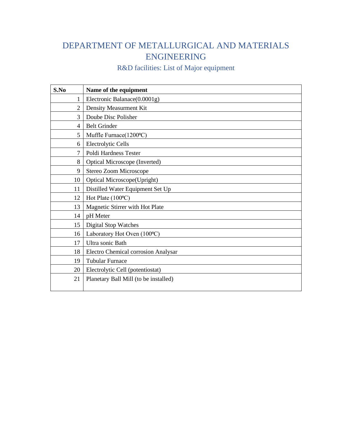#### DEPARTMENT OF METALLURGICAL AND MATERIALS ENGINEERING

| S.No           | Name of the equipment                 |
|----------------|---------------------------------------|
| 1              | Electronic Balanace(0.0001g)          |
| $\overline{2}$ | Density Measurment Kit                |
| 3              | Doube Disc Polisher                   |
| 4              | <b>Belt Grinder</b>                   |
| 5              | Muffle Furnace(1200°C)                |
| 6              | <b>Electrolytic Cells</b>             |
| 7              | Poldi Hardness Tester                 |
| 8              | Optical Microscope (Inverted)         |
| 9              | Stereo Zoom Microscope                |
| 10             | Optical Microscope(Upright)           |
| 11             | Distilled Water Equipment Set Up      |
| 12             | Hot Plate (100°C)                     |
| 13             | Magnetic Stirrer with Hot Plate       |
| 14             | pH Meter                              |
| 15             | <b>Digital Stop Watches</b>           |
| 16             | Laboratory Hot Oven (100°C)           |
| 17             | Ultra sonic Bath                      |
| 18             | Electro Chemical corrosion Analysar   |
| 19             | <b>Tubular Furnace</b>                |
| 20             | Electrolytic Cell (potentiostat)      |
| 21             | Planetary Ball Mill (to be installed) |
|                |                                       |